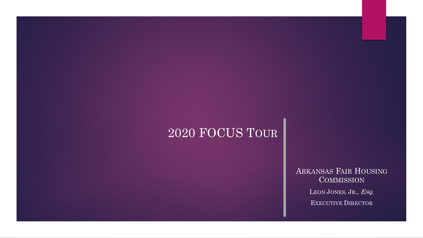# 2020 FOCUS TOUR

ARKANSAS FAIR HOUSING **COMMISSION** LEON JONES, JR., ESQ. EXECUTIVE DIRECTOR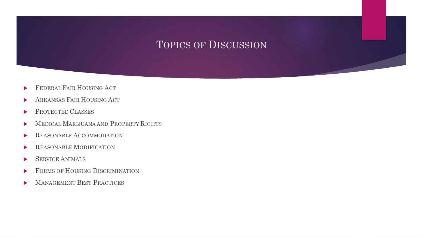## TOPICS OF DISCUSSION

- FEDERAL FAIR HOUSING ACT
- **ARKANSAS FAIR HOUSING ACT**
- PROTECTED CLASSES
- **MEDICAL MARIJUANA AND PROPERTY RIGHTS**
- REASONABLE ACCOMMODATION
- REASONABLE MODIFICATION
- SERVICE ANIMALS
- FORMS OF HOUSING DISCRIMINATION
- MANAGEMENT BEST PRACTICES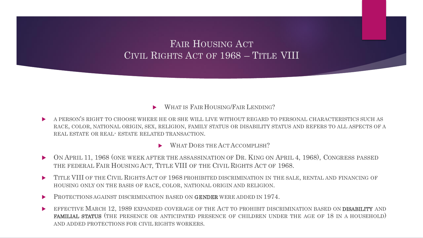FAIR HOUSING ACT CIVIL RIGHTS ACT OF 1968 – TITLE VIII

### WHAT IS FAIR HOUSING/FAIR LENDING?

 A PERSON'S RIGHT TO CHOOSE WHERE HE OR SHE WILL LIVE WITHOUT REGARD TO PERSONAL CHARACTERISTICS SUCH AS RACE, COLOR, NATIONAL ORIGIN, SEX, RELIGION, FAMILY STATUS OR DISABILITY STATUS AND REFERS TO ALL ASPECTS OF A REAL ESTATE OR REAL- ESTATE RELATED TRANSACTION.

WHAT DOES THE ACT ACCOMPLISH?

- ON APRIL 11, 1968 (ONE WEEK AFTER THE ASSASSINATION OF DR. KING ON APRIL 4, 1968), CONGRESS PASSED THE FEDERAL FAIR HOUSING ACT, TITLE VIII OF THE CIVIL RIGHTS ACT OF 1968.
- TITLE VIII OF THE CIVIL RIGHTSACT OF 1968 PROHIBITED DISCRIMINATION IN THE SALE, RENTAL AND FINANCING OF HOUSING ONLY ON THE BASIS OF RACE, COLOR, NATIONAL ORIGIN AND RELIGION.
- **PROTECTIONS AGAINST DISCRIMINATION BASED ON GENDER WERE ADDED IN 1974.**
- EFFECTIVE MARCH 12, 1989 EXPANDED COVERAGE OF THE ACT TO PROHIBIT DISCRIMINATION BASED ON **DISABILITY** AND FAMILIAL STATUS (THE PRESENCE OR ANTICIPATED PRESENCE OF CHILDREN UNDER THE AGE OF 18 IN A HOUSEHOLD) AND ADDED PROTECTIONS FOR CIVIL RIGHTS WORKERS.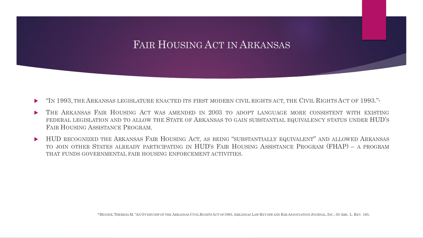## FAIR HOUSING ACT IN ARKANSAS

- "IN 1993, THE ARKANSAS LEGISLATURE ENACTED ITS FIRST MODERN CIVIL RIGHTS ACT, THE CIVIL RIGHTS ACT OF 1993."\*
- THE ARKANSAS FAIR HOUSING ACT WAS AMENDED IN 2003 TO ADOPT LANGUAGE MORE CONSISTENT WITH EXISTING FEDERAL LEGISLATION AND TO ALLOW THE STATE OF ARKANSAS TO GAIN SUBSTANTIAL EQUIVALENCY STATUS UNDER HUD'S FAIR HOUSING ASSISTANCE PROGRAM.
- HUD RECOGNIZED THE ARKANSAS FAIR HOUSING ACT, AS BEING "SUBSTANTIALLY EQUIVALENT" AND ALLOWED ARKANSAS TO JOIN OTHER STATES ALREADY PARTICIPATING IN HUD'S FAIR HOUSING ASSISTANCE PROGRAM (FHAP) – A PROGRAM THAT FUNDS GOVERNMENTAL FAIR HOUSING ENFORCEMENT ACTIVITIES.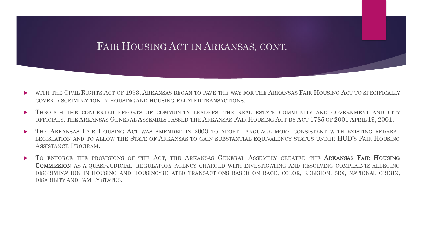## FAIR HOUSING ACT IN ARKANSAS, CONT.

- WITH THE CIVIL RIGHTS ACT OF 1993, ARKANSAS BEGAN TO PAVE THE WAY FOR THE ARKANSAS FAIR HOUSING ACT TO SPECIFICALLY COVER DISCRIMINATION IN HOUSING AND HOUSING-RELATED TRANSACTIONS.
- THROUGH THE CONCERTED EFFORTS OF COMMUNITY LEADERS, THE REAL ESTATE COMMUNITY AND GOVERNMENT AND CITY OFFICIALS, THE ARKANSAS GENERAL ASSEMBLY PASSED THE ARKANSAS FAIR HOUSING ACT BY ACT 1785 OF 2001 APRIL 19, 2001.
- THE ARKANSAS FAIR HOUSING ACT WAS AMENDED IN 2003 TO ADOPT LANGUAGE MORE CONSISTENT WITH EXISTING FEDERAL LEGISLATION AND TO ALLOW THE STATE OF ARKANSAS TO GAIN SUBSTANTIAL EQUIVALENCY STATUS UNDER HUD'S FAIR HOUSING ASSISTANCE PROGRAM.
- TO ENFORCE THE PROVISIONS OF THE ACT, THE ARKANSAS GENERAL ASSEMBLY CREATED THE ARKANSAS FAIR HOUSING COMMISSION AS A QUASI-JUDICIAL, REGULATORY AGENCY CHARGED WITH INVESTIGATING AND RESOLVING COMPLAINTS ALLEGING DISCRIMINATION IN HOUSING AND HOUSING-RELATED TRANSACTIONS BASED ON RACE, COLOR, RELIGION, SEX, NATIONAL ORIGIN, DISABILITY AND FAMILY STATUS.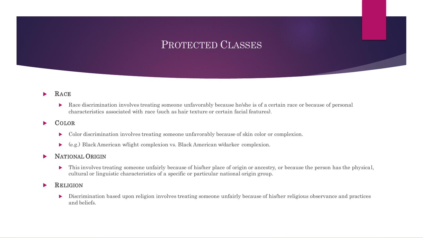## PROTECTED CLASSES

#### RACE

Race discrimination involves treating someone unfavorably because he/she is of a certain race or because of personal characteristics associated with race (such as hair texture or certain facial features).

### **COLOR**

- Color discrimination involves treating someone unfavorably because of skin color or complexion.
- (e.g.) Black American w/light complexion vs. Black American w/darker complexion.

### NATIONAL ORIGIN

 This involves treating someone unfairly because of his/her place of origin or ancestry, or because the person has the physical, cultural or linguistic characteristics of a specific or particular national origin group.

### RELIGION

 Discrimination based upon religion involves treating someone unfairly because of his/her religious observance and practices and beliefs.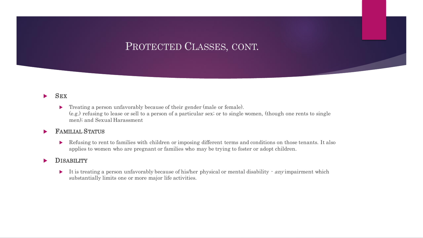## PROTECTED CLASSES, CONT.

#### $\blacktriangleright$  SEX

**Treating a person unfavorably because of their gender (male or female).** (e.g.) refusing to lease or sell to a person of a particular sex; or to single women, (though one rents to single men); and Sexual Harassment

#### FAMILIAL STATUS

Refusing to rent to families with children or imposing different terms and conditions on those tenants. It also applies to women who are pregnant or families who may be trying to foster or adopt children.

#### **DISABILITY**

It is treating a person unfavorably because of his/her physical or mental disability  $\cdot$  any impairment which substantially limits one or more major life activities.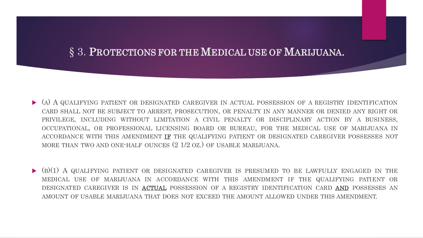## § 3. PROTECTIONS FOR THE MEDICAL USE OF MARIJUANA.

- (A) A QUALIFYING PATIENT OR DESIGNATED CAREGIVER IN ACTUAL POSSESSION OF A REGISTRY IDENTIFICATION CARD SHALL NOT BE SUBJECT TO ARREST, PROSECUTION, OR PENALTY IN ANY MANNER OR DENIED ANY RIGHT OR PRIVILEGE, INCLUDING WITHOUT LIMITATION A CIVIL PENALTY OR DISCIPLINARY ACTION BY A BUSINESS, OCCUPATIONAL, OR PROFESSIONAL LICENSING BOARD OR BUREAU, FOR THE MEDICAL USE OF MARIJUANA IN ACCORDANCE WITH THIS AMENDMENT IF THE QUALIFYING PATIENT OR DESIGNATED CAREGIVER POSSESSES NOT MORE THAN TWO AND ONE-HALF OUNCES (2 1/2 OZ.) OF USABLE MARIJUANA.
- $\blacktriangleright$  (B)(1) A QUALIFYING PATIENT OR DESIGNATED CAREGIVER IS PRESUMED TO BE LAWFULLY ENGAGED IN THE MEDICAL USE OF MARIJUANA IN ACCORDANCE WITH THIS AMENDMENT IF THE QUALIFYING PATIENT OR DESIGNATED CAREGIVER IS IN ACTUAL POSSESSION OF A REGISTRY IDENTIFICATION CARD AND POSSESSES AN AMOUNT OF USABLE MARIJUANA THAT DOES NOT EXCEED THE AMOUNT ALLOWED UNDER THIS AMENDMENT.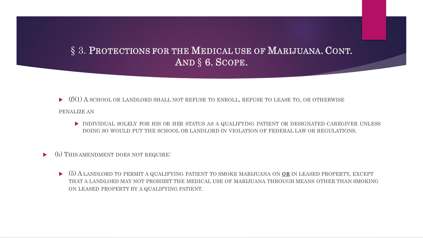## § 3. PROTECTIONS FOR THE MEDICAL USE OF MARIJUANA. CONT. AND § 6. SCOPE.

- $\blacktriangleright$  (f)(1) A SCHOOL OR LANDLORD SHALL NOT REFUSE TO ENROLL, REFUSE TO LEASE TO, OR OTHERWISE
- PENALIZE AN
	- INDIVIDUAL SOLELY FOR HIS OR HER STATUS AS A QUALIFYING PATIENT OR DESIGNATED CAREGIVER UNLESS DOING SO WOULD PUT THE SCHOOL OR LANDLORD IN VIOLATION OF FEDERAL LAW OR REGULATIONS.
- (b) THIS AMENDMENT DOES NOT REQUIRE:
	- $(5)$  A LANDLORD TO PERMIT A QUALIFYING PATIENT TO SMOKE MARIJUANA ON **OR** IN LEASED PROPERTY, EXCEPT THAT A LANDLORD MAY NOT PROHIBIT THE MEDICAL USE OF MARIJUANA THROUGH MEANS OTHER THAN SMOKING ON LEASED PROPERTY BY A QUALIFYING PATIENT.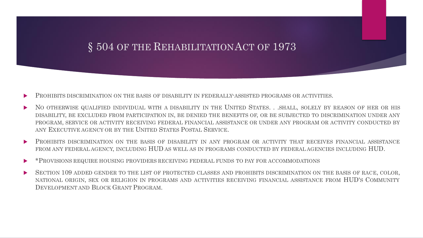## § 504 OF THE REHABILITATION ACT OF 1973

- PROHIBITS DISCRIMINATION ON THE BASIS OF DISABILITY IN FEDERALLY-ASSISTED PROGRAMS OR ACTIVITIES.
- NO OTHERWISE QUALIFIED INDIVIDUAL WITH A DISABILITY IN THE UNITED STATES. . .SHALL, SOLELY BY REASON OF HER OR HIS DISABILITY, BE EXCLUDED FROM PARTICIPATION IN, BE DENIED THE BENEFITS OF, OR BE SUBJECTED TO DISCRIMINATION UNDER ANY PROGRAM, SERVICE OR ACTIVITY RECEIVING FEDERAL FINANCIAL ASSISTANCE OR UNDER ANY PROGRAM OR ACTIVITY CONDUCTED BY ANY EXECUTIVE AGENCY OR BY THE UNITED STATES POSTAL SERVICE.
- PROHIBITS DISCRIMINATION ON THE BASIS OF DISABILITY IN ANY PROGRAM OR ACTIVITY THAT RECEIVES FINANCIAL ASSISTANCE FROM ANY FEDERAL AGENCY, INCLUDING HUD AS WELL AS IN PROGRAMS CONDUCTED BY FEDERAL AGENCIES INCLUDING HUD.
- \*PROVISIONS REQUIRE HOUSING PROVIDERS RECEIVING FEDERAL FUNDS TO PAY FOR ACCOMMODATIONS
- SECTION 109 ADDED GENDER TO THE LIST OF PROTECTED CLASSES AND PROHIBITS DISCRIMINATION ON THE BASIS OF RACE, COLOR, NATIONAL ORIGIN, SEX OR RELIGION IN PROGRAMS AND ACTIVITIES RECEIVING FINANCIAL ASSISTANCE FROM HUD'S COMMUNITY DEVELOPMENT AND BLOCK GRANT PROGRAM.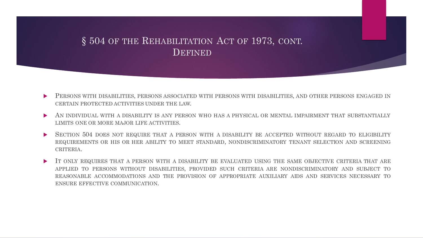### § 504 OF THE REHABILITATION ACT OF 1973, CONT. DEFINED

- PERSONS WITH DISABILITIES, PERSONS ASSOCIATED WITH PERSONS WITH DISABILITIES, AND OTHER PERSONS ENGAGED IN CERTAIN PROTECTED ACTIVITIES UNDER THE LAW.
- AN INDIVIDUAL WITH A DISABILITY IS ANY PERSON WHO HAS A PHYSICAL OR MENTAL IMPAIRMENT THAT SUBSTANTIALLY LIMITS ONE OR MORE MAJOR LIFE ACTIVITIES.
- SECTION 504 DOES NOT REQUIRE THAT A PERSON WITH A DISABILITY BE ACCEPTED WITHOUT REGARD TO ELIGIBILITY REQUIREMENTS OR HIS OR HER ABILITY TO MEET STANDARD, NONDISCRIMINATORY TENANT SELECTION AND SCREENING CRITERIA.
- IT ONLY REQUIRES THAT A PERSON WITH A DISABILITY BE EVALUATED USING THE SAME OBJECTIVE CRITERIA THAT ARE APPLIED TO PERSONS WITHOUT DISABILITIES, PROVIDED SUCH CRITERIA ARE NONDISCRIMINATORY AND SUBJECT TO REASONABLE ACCOMMODATIONS AND THE PROVISION OF APPROPRIATE AUXILIARY AIDS AND SERVICES NECESSARY TO ENSURE EFFECTIVE COMMUNICATION.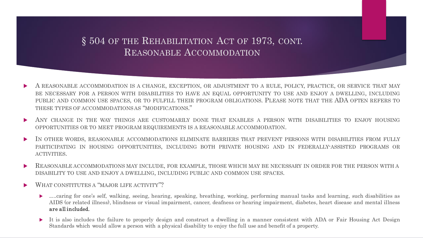### § 504 OF THE REHABILITATION ACT OF 1973, CONT. REASONABLE ACCOMMODATION

- A REASONABLE ACCOMMODATION IS A CHANGE, EXCEPTION, OR ADJUSTMENT TO A RULE, POLICY, PRACTICE, OR SERVICE THAT MAY BE NECESSARY FOR A PERSON WITH DISABILITIES TO HAVE AN EQUAL OPPORTUNITY TO USE AND ENJOY A DWELLING, INCLUDING PUBLIC AND COMMON USE SPACES, OR TO FULFILL THEIR PROGRAM OBLIGATIONS. PLEASE NOTE THAT THE ADA OFTEN REFERS TO THESE TYPES OF ACCOMMODATIONS AS "MODIFICATIONS."
- ANY CHANGE IN THE WAY THINGS ARE CUSTOMARILY DONE THAT ENABLES A PERSON WITH DISABILITIES TO ENJOY HOUSING OPPORTUNITIES OR TO MEET PROGRAM REQUIREMENTS IS A REASONABLE ACCOMMODATION.
- IN OTHER WORDS, REASONABLE ACCOMMODATIONS ELIMINATE BARRIERS THAT PREVENT PERSONS WITH DISABILITIES FROM FULLY PARTICIPATING IN HOUSING OPPORTUNITIES, INCLUDING BOTH PRIVATE HOUSING AND IN FEDERALLY-ASSISTED PROGRAMS OR ACTIVITIES.
- REASONABLE ACCOMMODATIONS MAY INCLUDE, FOR EXAMPLE, THOSE WHICH MAY BE NECESSARY IN ORDER FOR THE PERSON WITH A DISABILITY TO USE AND ENJOY A DWELLING, INCLUDING PUBLIC AND COMMON USE SPACES.
- WHAT CONSTITUTES A "MAJOR LIFE ACTIVITY"?
	- .....caring for one's self, walking, seeing, hearing, speaking, breathing, working, performing manual tasks and learning, such disabilities as AIDS (or related illness), blindness or visual impairment, cancer, deafness or hearing impairment, diabetes, heart disease and mental illness are all included.
	- It is also includes the failure to properly design and construct a dwelling in a manner consistent with ADA or Fair Housing Act Design Standards which would allow a person with a physical disability to enjoy the full use and benefit of a property.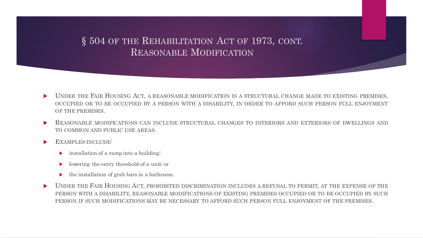### § 504 OF THE REHABILITATION ACT OF 1973, CONT. REASONABLE MODIFICATION

- UNDER THE FAIR HOUSING ACT, A REASONABLE MODIFICATION IS A STRUCTURAL CHANGE MADE TO EXISTING PREMISES, OCCUPIED OR TO BE OCCUPIED BY A PERSON WITH A DISABILITY, IN ORDER TO AFFORD SUCH PERSON FULL ENJOYMENT OF THE PREMISES.
- REASONABLE MODIFICATIONS CAN INCLUDE STRUCTURAL CHANGES TO INTERIORS AND EXTERIORS OF DWELLINGS AND TO COMMON AND PUBLIC USE AREAS.
- EXAMPLES INCLUDE:
	- installation of a ramp into a building;
	- lowering the entry threshold of a unit; or
	- the installation of grab bars in a bathroom.
- DUNDER THE FAIR HOUSING ACT, PROHIBITED DISCRIMINATION INCLUDES A REFUSAL TO PERMIT, AT THE EXPENSE OF THE PERSON WITH A DISABILITY, REASONABLE MODIFICATIONS OF EXISTING PREMISES OCCUPIED OR TO BE OCCUPIED BY SUCH PERSON IF SUCH MODIFICATIONS MAY BE NECESSARY TO AFFORD SUCH PERSON FULL ENJOYMENT OF THE PREMISES.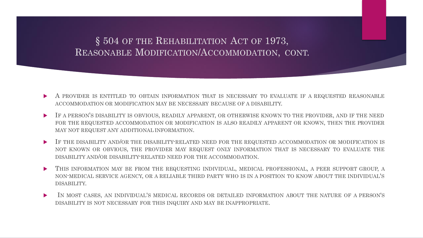### § 504 OF THE REHABILITATION ACT OF 1973, REASONABLE MODIFICATION/ACCOMMODATION, CONT.

- A PROVIDER IS ENTITLED TO OBTAIN INFORMATION THAT IS NECESSARY TO EVALUATE IF A REQUESTED REASONABLE ACCOMMODATION OR MODIFICATION MAY BE NECESSARY BECAUSE OF A DISABILITY.
- IF A PERSON'S DISABILITY IS OBVIOUS, READILY APPARENT, OR OTHERWISE KNOWN TO THE PROVIDER, AND IF THE NEED FOR THE REQUESTED ACCOMMODATION OR MODIFICATION IS ALSO READILY APPARENT OR KNOWN, THEN THE PROVIDER MAY NOT REQUEST ANY ADDITIONAL INFORMATION.
- IF THE DISABILITY AND/OR THE DISABILITY-RELATED NEED FOR THE REQUESTED ACCOMMODATION OR MODIFICATION IS NOT KNOWN OR OBVIOUS, THE PROVIDER MAY REQUEST ONLY INFORMATION THAT IS NECESSARY TO EVALUATE THE DISABILITY AND/OR DISABILITY-RELATED NEED FOR THE ACCOMMODATION.
- THIS INFORMATION MAY BE FROM THE REQUESTING INDIVIDUAL, MEDICAL PROFESSIONAL, A PEER SUPPORT GROUP, A NON-MEDICAL SERVICE AGENCY, OR A RELIABLE THIRD PARTY WHO IS IN A POSITION TO KNOW ABOUT THE INDIVIDUAL'S DISABILITY.
- IN MOST CASES, AN INDIVIDUAL'S MEDICAL RECORDS OR DETAILED INFORMATION ABOUT THE NATURE OF A PERSON'S DISABILITY IS NOT NECESSARY FOR THIS INQUIRY AND MAY BE INAPPROPRIATE.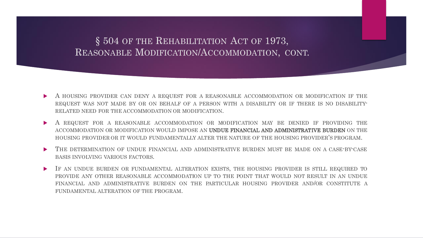### § 504 OF THE REHABILITATION ACT OF 1973, REASONABLE MODIFICATION/ACCOMMODATION, CONT.

- A HOUSING PROVIDER CAN DENY A REQUEST FOR A REASONABLE ACCOMMODATION OR MODIFICATION IF THE REQUEST WAS NOT MADE BY OR ON BEHALF OF A PERSON WITH A DISABILITY OR IF THERE IS NO DISABILITY-RELATED NEED FOR THE ACCOMMODATION OR MODIFICATION.
- A REQUEST FOR A REASONABLE ACCOMMODATION OR MODIFICATION MAY BE DENIED IF PROVIDING THE ACCOMMODATION OR MODIFICATION WOULD IMPOSE AN UNDUE FINANCIAL AND ADMINISTRATIVE BURDEN ON THE HOUSING PROVIDER OR IT WOULD FUNDAMENTALLY ALTER THE NATURE OF THE HOUSING PROVIDER'S PROGRAM.
- THE DETERMINATION OF UNDUE FINANCIAL AND ADMINISTRATIVE BURDEN MUST BE MADE ON A CASE-BY-CASE BASIS INVOLVING VARIOUS FACTORS.
- IF AN UNDUE BURDEN OR FUNDAMENTAL ALTERATION EXISTS, THE HOUSING PROVIDER IS STILL REQUIRED TO PROVIDE ANY OTHER REASONABLE ACCOMMODATION UP TO THE POINT THAT WOULD NOT RESULT IN AN UNDUE FINANCIAL AND ADMINISTRATIVE BURDEN ON THE PARTICULAR HOUSING PROVIDER AND/OR CONSTITUTE A FUNDAMENTAL ALTERATION OF THE PROGRAM.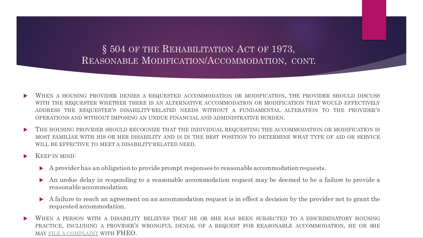§ 504 OF THE REHABILITATION ACT OF 1973, REASONABLE MODIFICATION/ACCOMMODATION, CONT.

- WHEN A HOUSING PROVIDER DENIES A REQUESTED ACCOMMODATION OR MODIFICATION, THE PROVIDER SHOULD DISCUSS WITH THE REQUESTER WHETHER THERE IS AN ALTERNATIVE ACCOMMODATION OR MODIFICATION THAT WOULD EFFECTIVELY ADDRESS THE REQUESTER'S DISABILITY-RELATED NEEDS WITHOUT A FUNDAMENTAL ALTERATION TO THE PROVIDER'S OPERATIONS AND WITHOUT IMPOSING AN UNDUE FINANCIAL AND ADMINISTRATIVE BURDEN.
- THE HOUSING PROVIDER SHOULD RECOGNIZE THAT THE INDIVIDUAL REQUESTING THE ACCOMMODATION OR MODIFICATION IS MOST FAMILIAR WITH HIS OR HER DISABILITY AND IS IN THE BEST POSITION TO DETERMINE WHAT TYPE OF AID OR SERVICE WILL BE EFFECTIVE TO MEET A DISABILITY-RELATED NEED.
- KEEP IN MIND:
	- A provider has an obligation to provide prompt responses to reasonable accommodation requests.
	- An undue delay in responding to a reasonable accommodation request may be deemed to be a failure to provide a reasonable accommodation.
	- A failure to reach an agreement on an accommodation request is in effect a decision by the provider not to grant the requested accommodation.
- WHEN A PERSON WITH A DISABILITY BELIEVES THAT HE OR SHE HAS BEEN SUBJECTED TO A DISCRIMINATORY HOUSING PRACTICE, INCLUDING A PROVIDER'S WRONGFUL DENIAL OF A REQUEST FOR REASONABLE ACCOMMODATION, HE OR SHE MAY FILE A [COMPLAINT](https://www.hud.gov/program_offices/fair_housing_equal_opp/online-complaint) WITH FHEO.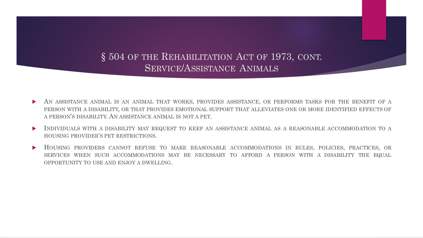### § 504 OF THE REHABILITATION ACT OF 1973, CONT. SERVICE/ASSISTANCE ANIMALS

- AN ASSISTANCE ANIMAL IS AN ANIMAL THAT WORKS, PROVIDES ASSISTANCE, OR PERFORMS TASKS FOR THE BENEFIT OF A PERSON WITH A DISABILITY, OR THAT PROVIDES EMOTIONAL SUPPORT THAT ALLEVIATES ONE OR MORE IDENTIFIED EFFECTS OF A PERSON'S DISABILITY. AN ASSISTANCE ANIMAL IS NOT A PET.
- INDIVIDUALS WITH A DISABILITY MAY REQUEST TO KEEP AN ASSISTANCE ANIMAL AS A REASONABLE ACCOMMODATION TO A HOUSING PROVIDER'S PET RESTRICTIONS.
- HOUSING PROVIDERS CANNOT REFUSE TO MAKE REASONABLE ACCOMMODATIONS IN RULES, POLICIES, PRACTICES, OR SERVICES WHEN SUCH ACCOMMODATIONS MAY BE NECESSARY TO AFFORD A PERSON WITH A DISABILITY THE EQUAL OPPORTUNITY TO USE AND ENJOY A DWELLING.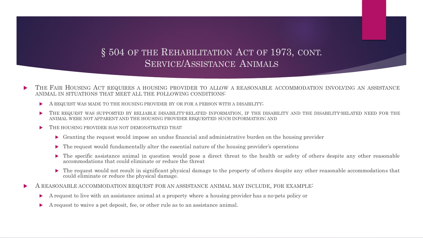### § 504 OF THE REHABILITATION ACT OF 1973, CONT. SERVICE/ASSISTANCE ANIMALS

- THE FAIR HOUSING ACT REQUIRES A HOUSING PROVIDER TO ALLOW A REASONABLE ACCOMMODATION INVOLVING AN ASSISTANCE ANIMAL IN SITUATIONS THAT MEET ALL THE FOLLOWING CONDITIONS:
	- A REQUEST WAS MADE TO THE HOUSING PROVIDER BY OR FOR A PERSON WITH A DISABILITY;
	- THE REQUEST WAS SUPPORTED BY RELIABLE DISABILITY-RELATED INFORMATION, IF THE DISABILITY AND THE DISABILITY-RELATED NEED FOR THE ANIMAL WERE NOT APPARENT AND THE HOUSING PROVIDER REQUESTED SUCH INFORMATION; AND
	- THE HOUSING PROVIDER HAS NOT DEMONSTRATED THAT:
		- Granting the request would impose an undue financial and administrative burden on the housing provider
		- The request would fundamentally alter the essential nature of the housing provider's operations
		- The specific assistance animal in question would pose a direct threat to the health or safety of others despite any other reasonable accommodations that could eliminate or reduce the threat
		- The request would not result in significant physical damage to the property of others despite any other reasonable accommodations that could eliminate or reduce the physical damage.
- A REASONABLE ACCOMMODATION REQUEST FOR AN ASSISTANCE ANIMAL MAY INCLUDE, FOR EXAMPLE:
	- A request to live with an assistance animal at a property where a housing provider has a no-pets policy or
	- A request to waive a pet deposit, fee, or other rule as to an assistance animal.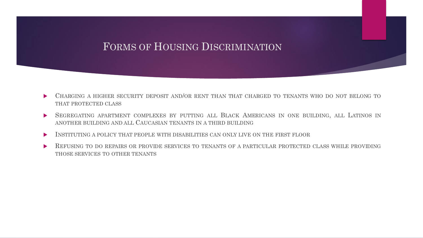## FORMS OF HOUSING DISCRIMINATION

- CHARGING A HIGHER SECURITY DEPOSIT AND/OR RENT THAN THAT CHARGED TO TENANTS WHO DO NOT BELONG TO THAT PROTECTED CLASS
- **SEGREGATING APARTMENT COMPLEXES BY PUTTING ALL BLACK AMERICANS IN ONE BUILDING, ALL LATINOS IN** ANOTHER BUILDING AND ALL CAUCASIAN TENANTS IN A THIRD BUILDING
- INSTITUTING A POLICY THAT PEOPLE WITH DISABILITIES CAN ONLY LIVE ON THE FIRST FLOOR
- REFUSING TO DO REPAIRS OR PROVIDE SERVICES TO TENANTS OF A PARTICULAR PROTECTED CLASS WHILE PROVIDING THOSE SERVICES TO OTHER TENANTS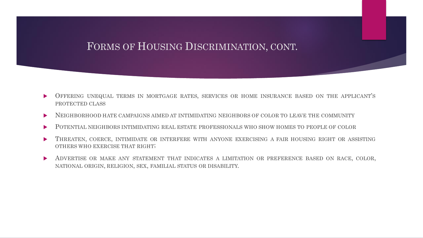## FORMS OF HOUSING DISCRIMINATION, CONT.

- OFFERING UNEQUAL TERMS IN MORTGAGE RATES, SERVICES OR HOME INSURANCE BASED ON THE APPLICANT'S PROTECTED CLASS
- NEIGHBORHOOD HATE CAMPAIGNS AIMED AT INTIMIDATING NEIGHBORS OF COLOR TO LEAVE THE COMMUNITY
- POTENTIAL NEIGHBORS INTIMIDATING REAL ESTATE PROFESSIONALS WHO SHOW HOMES TO PEOPLE OF COLOR
- THREATEN, COERCE, INTIMIDATE OR INTERFERE WITH ANYONE EXERCISING A FAIR HOUSING RIGHT OR ASSISTING OTHERS WHO EXERCISE THAT RIGHT;
- **ADVERTISE OR MAKE ANY STATEMENT THAT INDICATES A LIMITATION OR PREFERENCE BASED ON RACE, COLOR,** NATIONAL ORIGIN, RELIGION, SEX, FAMILIAL STATUS OR DISABILITY.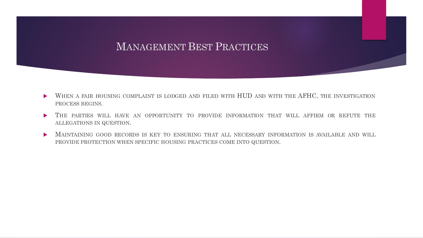## MANAGEMENT BEST PRACTICES

- WHEN A FAIR HOUSING COMPLAINT IS LODGED AND FILED WITH HUD AND WITH THE AFHC, THE INVESTIGATION PROCESS BEGINS.
- THE PARTIES WILL HAVE AN OPPORTUNITY TO PROVIDE INFORMATION THAT WILL AFFIRM OR REFUTE THE ALLEGATIONS IN QUESTION.
- **MAINTAINING GOOD RECORDS IS KEY TO ENSURING THAT ALL NECESSARY INFORMATION IS AVAILABLE AND WILL** PROVIDE PROTECTION WHEN SPECIFIC HOUSING PRACTICES COME INTO QUESTION.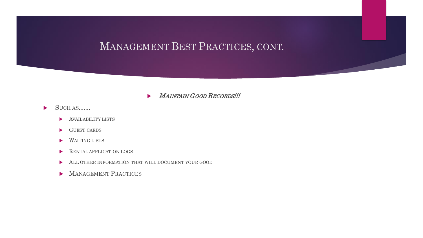#### MAINTAIN GOOD RECORDS !!!

- $\blacktriangleright$  SUCH AS.......
	- AVAILABILITY LISTS
	- GUEST CARDS
	- WAITING LISTS
	- **RENTAL APPLICATION LOGS**
	- ALL OTHER INFORMATION THAT WILL DOCUMENT YOUR GOOD
	- MANAGEMENT PRACTICES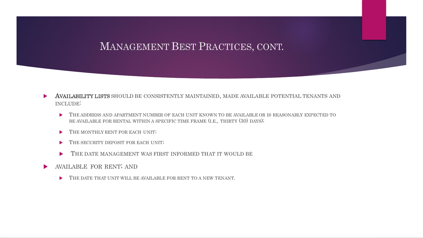- AVAILABILITY LISTS SHOULD BE CONSISTENTLY MAINTAINED, MADE AVAILABLE POTENTIAL TENANTS AND INCLUDE:
	- THE ADDRESS AND APARTMENT NUMBER OF EACH UNIT KNOWN TO BE AVAILABLE OR IS REASONABLY EXPECTED TO BE AVAILABLE FOR RENTAL WITHIN A SPECIFIC TIME FRAME (I.E., THIRTY (30) DAYS);
	- THE MONTHLY RENT FOR EACH UNIT;
	- THE SECURITY DEPOSIT FOR EACH UNIT;
	- THE DATE MANAGEMENT WAS FIRST INFORMED THAT IT WOULD BE
- **NAILABLE FOR RENT; AND** 
	- THE DATE THAT UNIT WILL BE AVAILABLE FOR RENT TO A NEW TENANT.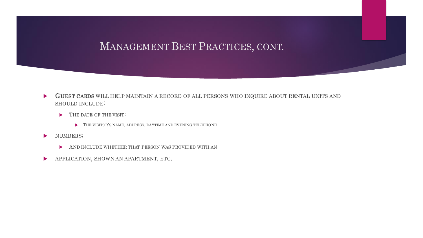- GUEST CARDS WILL HELP MAINTAIN A RECORD OF ALL PERSONS WHO INQUIRE ABOUT RENTAL UNITS AND SHOULD INCLUDE:
	- THE DATE OF THE VISIT;
		- THE VISITOR'S NAME, ADDRESS, DAYTIME AND EVENING TELEPHONE
- NUMBERS;
	- AND INCLUDE WHETHER THAT PERSON WAS PROVIDED WITH AN
- **APPLICATION, SHOWN AN APARTMENT, ETC.**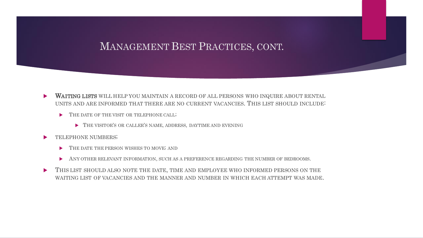- WAITING LISTS WILL HELP YOU MAINTAIN A RECORD OF ALL PERSONS WHO INQUIRE ABOUT RENTAL UNITS AND ARE INFORMED THAT THERE ARE NO CURRENT VACANCIES. THIS LIST SHOULD INCLUDE:
	- THE DATE OF THE VISIT OR TELEPHONE CALL;
		- THE VISITOR'S OR CALLER'S NAME, ADDRESS, DAYTIME AND EVENING
- TELEPHONE NUMBERS;
	- THE DATE THE PERSON WISHES TO MOVE; AND
	- ANY OTHER RELEVANT INFORMATION, SUCH AS A PREFERENCE REGARDING THE NUMBER OF BEDROOMS.
- THIS LIST SHOULD ALSO NOTE THE DATE, TIME AND EMPLOYEE WHO INFORMED PERSONS ON THE WAITING LIST OF VACANCIES AND THE MANNER AND NUMBER IN WHICH EACH ATTEMPT WAS MADE.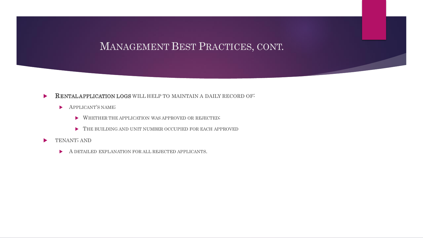#### **RENTALAPPLICATION LOGS WILL HELP TO MAINTAIN A DAILY RECORD OF:**

- **APPLICANT'S NAME;** 
	- $\blacktriangleright \quad \text{WHERE THE APPLICATION WAS APPROVED OR REJECTED};$
	- FIFE BUILDING AND UNIT NUMBER OCCUPIED FOR EACH APPROVED
- TENANT; AND
	- A DETAILED EXPLANATION FOR ALL REJECTED APPLICANTS.